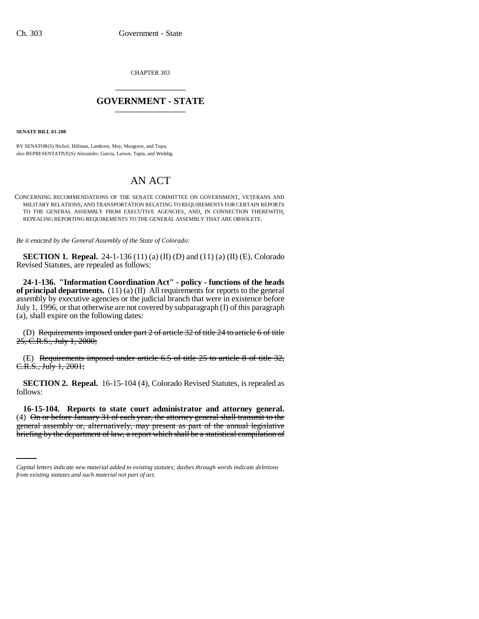CHAPTER 303 \_\_\_\_\_\_\_\_\_\_\_\_\_\_\_

## **GOVERNMENT - STATE** \_\_\_\_\_\_\_\_\_\_\_\_\_\_\_

**SENATE BILL 01-208**

BY SENATOR(S) Nichol, Hillman, Lamborn, May, Musgrave, and Tupa; also REPRESENTATIVE(S) Alexander, Garcia, Larson, Tapia, and Weddig.

## AN ACT

CONCERNING RECOMMENDATIONS OF THE SENATE COMMITTEE ON GOVERNMENT, VETERANS AND MILITARY RELATIONS, AND TRANSPORTATION RELATING TO REQUIREMENTS FOR CERTAIN REPORTS TO THE GENERAL ASSEMBLY FROM EXECUTIVE AGENCIES, AND, IN CONNECTION THEREWITH, REPEALING REPORTING REQUIREMENTS TO THE GENERAL ASSEMBLY THAT ARE OBSOLETE.

*Be it enacted by the General Assembly of the State of Colorado:*

**SECTION 1. Repeal.** 24-1-136 (11) (a) (II) (D) and (11) (a) (II) (E), Colorado Revised Statutes, are repealed as follows:

**24-1-136. "Information Coordination Act" - policy - functions of the heads of principal departments.** (11) (a) (II) All requirements for reports to the general assembly by executive agencies or the judicial branch that were in existence before July 1, 1996, or that otherwise are not covered by subparagraph (I) of this paragraph (a), shall expire on the following dates:

(D) Requirements imposed under part 2 of article 32 of title 24 to article 6 of title 25, C.R.S., July 1, 2000;

(E) Requirements imposed under article  $6.5$  of title  $25$  to article  $8$  of title  $32$ , C.R.S., July 1, 2001;

**SECTION 2. Repeal.** 16-15-104 (4), Colorado Revised Statutes, is repealed as follows:

(4) On or before January 31 of each year, the attorney general shall transmit to the **16-15-104. Reports to state court administrator and attorney general.** general assembly or, alternatively, may present as part of the annual legislative briefing by the department of law, a report which shall be a statistical compilation of

*Capital letters indicate new material added to existing statutes; dashes through words indicate deletions from existing statutes and such material not part of act.*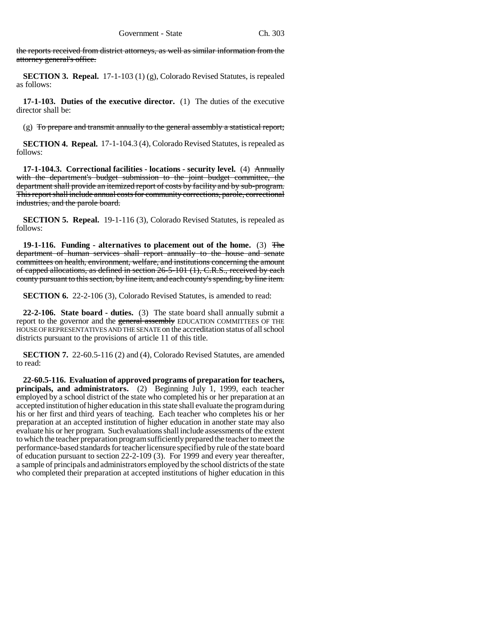the reports received from district attorneys, as well as similar information from the attorney general's office.

**SECTION 3. Repeal.** 17-1-103 (1) (g), Colorado Revised Statutes, is repealed as follows:

**17-1-103. Duties of the executive director.** (1) The duties of the executive director shall be:

(g) To prepare and transmit annually to the general assembly a statistical report;

**SECTION 4. Repeal.** 17-1-104.3 (4), Colorado Revised Statutes, is repealed as follows:

**17-1-104.3. Correctional facilities - locations - security level.** (4) Annually with the department's budget submission to the joint budget committee, the department shall provide an itemized report of costs by facility and by sub-program. This report shall include annual costs for community corrections, parole, correctional industries, and the parole board.

**SECTION 5. Repeal.** 19-1-116 (3), Colorado Revised Statutes, is repealed as follows:

**19-1-116. Funding - alternatives to placement out of the home.** (3) The department of human services shall report annually to the house and senate committees on health, environment, welfare, and institutions concerning the amount of capped allocations, as defined in section 26-5-101 (1), C.R.S., received by each county pursuant to this section, by line item, and each county's spending, by line item.

**SECTION 6.** 22-2-106 (3), Colorado Revised Statutes, is amended to read:

**22-2-106. State board - duties.** (3) The state board shall annually submit a report to the governor and the general assembly EDUCATION COMMITTEES OF THE HOUSE OF REPRESENTATIVES AND THE SENATE on the accreditation status of all school districts pursuant to the provisions of article 11 of this title.

**SECTION 7.** 22-60.5-116 (2) and (4), Colorado Revised Statutes, are amended to read:

**22-60.5-116. Evaluation of approved programs of preparation for teachers, principals, and administrators.** (2) Beginning July 1, 1999, each teacher employed by a school district of the state who completed his or her preparation at an accepted institution of higher education in this state shall evaluate the program during his or her first and third years of teaching. Each teacher who completes his or her preparation at an accepted institution of higher education in another state may also evaluate his or her program. Such evaluations shall include assessments of the extent to which the teacher preparation program sufficiently prepared the teacher to meet the performance-based standards for teacher licensure specified by rule of the state board of education pursuant to section 22-2-109 (3). For 1999 and every year thereafter, a sample of principals and administrators employed by the school districts of the state who completed their preparation at accepted institutions of higher education in this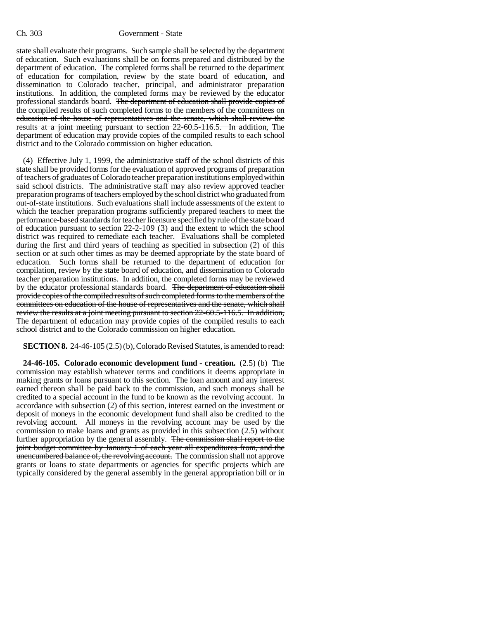state shall evaluate their programs. Such sample shall be selected by the department of education. Such evaluations shall be on forms prepared and distributed by the department of education. The completed forms shall be returned to the department of education for compilation, review by the state board of education, and dissemination to Colorado teacher, principal, and administrator preparation institutions. In addition, the completed forms may be reviewed by the educator professional standards board. The department of education shall provide copies of the compiled results of such completed forms to the members of the committees on education of the house of representatives and the senate, which shall review the results at a joint meeting pursuant to section 22-60.5-116.5. In addition, The department of education may provide copies of the compiled results to each school district and to the Colorado commission on higher education.

(4) Effective July 1, 1999, the administrative staff of the school districts of this state shall be provided forms for the evaluation of approved programs of preparation of teachers of graduates of Colorado teacher preparation institutions employed within said school districts. The administrative staff may also review approved teacher preparation programs of teachers employed by the school district who graduated from out-of-state institutions. Such evaluations shall include assessments of the extent to which the teacher preparation programs sufficiently prepared teachers to meet the performance-based standards for teacher licensure specified by rule of the state board of education pursuant to section 22-2-109 (3) and the extent to which the school district was required to remediate each teacher. Evaluations shall be completed during the first and third years of teaching as specified in subsection (2) of this section or at such other times as may be deemed appropriate by the state board of education. Such forms shall be returned to the department of education for compilation, review by the state board of education, and dissemination to Colorado teacher preparation institutions. In addition, the completed forms may be reviewed by the educator professional standards board. The department of education shall provide copies of the compiled results of such completed forms to the members of the committees on education of the house of representatives and the senate, which shall review the results at a joint meeting pursuant to section 22-60.5-116.5. In addition, The department of education may provide copies of the compiled results to each school district and to the Colorado commission on higher education.

**SECTION 8.** 24-46-105 (2.5) (b), Colorado Revised Statutes, is amended to read:

**24-46-105. Colorado economic development fund - creation.** (2.5) (b) The commission may establish whatever terms and conditions it deems appropriate in making grants or loans pursuant to this section. The loan amount and any interest earned thereon shall be paid back to the commission, and such moneys shall be credited to a special account in the fund to be known as the revolving account. In accordance with subsection (2) of this section, interest earned on the investment or deposit of moneys in the economic development fund shall also be credited to the revolving account. All moneys in the revolving account may be used by the commission to make loans and grants as provided in this subsection (2.5) without further appropriation by the general assembly. The commission shall report to the joint budget committee by January 1 of each year all expenditures from, and the unencumbered balance of, the revolving account. The commission shall not approve grants or loans to state departments or agencies for specific projects which are typically considered by the general assembly in the general appropriation bill or in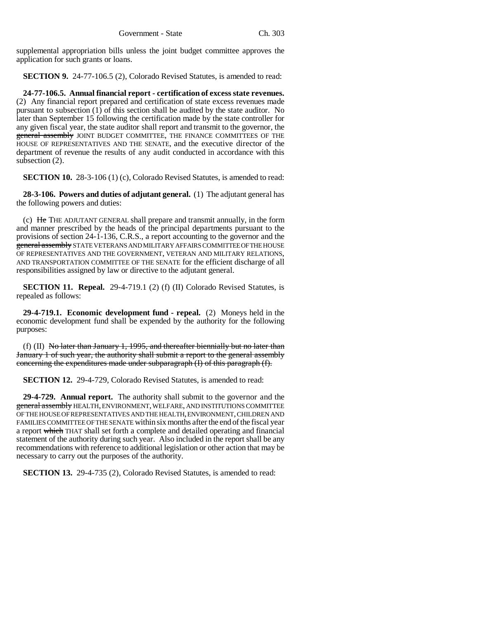supplemental appropriation bills unless the joint budget committee approves the application for such grants or loans.

**SECTION 9.** 24-77-106.5 (2), Colorado Revised Statutes, is amended to read:

**24-77-106.5. Annual financial report - certification of excess state revenues.** (2) Any financial report prepared and certification of state excess revenues made pursuant to subsection (1) of this section shall be audited by the state auditor. No later than September 15 following the certification made by the state controller for any given fiscal year, the state auditor shall report and transmit to the governor, the general assembly JOINT BUDGET COMMITTEE, THE FINANCE COMMITTEES OF THE HOUSE OF REPRESENTATIVES AND THE SENATE, and the executive director of the department of revenue the results of any audit conducted in accordance with this subsection (2).

**SECTION 10.** 28-3-106 (1) (c), Colorado Revised Statutes, is amended to read:

**28-3-106. Powers and duties of adjutant general.** (1) The adjutant general has the following powers and duties:

(c) He THE ADJUTANT GENERAL shall prepare and transmit annually, in the form and manner prescribed by the heads of the principal departments pursuant to the provisions of section 24-1-136, C.R.S., a report accounting to the governor and the general assembly STATE VETERANS AND MILITARY AFFAIRS COMMITTEE OF THE HOUSE OF REPRESENTATIVES AND THE GOVERNMENT, VETERAN AND MILITARY RELATIONS, AND TRANSPORTATION COMMITTEE OF THE SENATE for the efficient discharge of all responsibilities assigned by law or directive to the adjutant general.

**SECTION 11. Repeal.** 29-4-719.1 (2) (f) (II) Colorado Revised Statutes, is repealed as follows:

**29-4-719.1. Economic development fund - repeal.** (2) Moneys held in the economic development fund shall be expended by the authority for the following purposes:

(f) (II) No later than January 1, 1995, and thereafter biennially but no later than January 1 of such year, the authority shall submit a report to the general assembly concerning the expenditures made under subparagraph (I) of this paragraph (f).

**SECTION 12.** 29-4-729, Colorado Revised Statutes, is amended to read:

**29-4-729. Annual report.** The authority shall submit to the governor and the general assembly HEALTH, ENVIRONMENT, WELFARE, AND INSTITUTIONS COMMITTEE OF THE HOUSE OF REPRESENTATIVES AND THE HEALTH, ENVIRONMENT, CHILDREN AND FAMILIES COMMITTEE OF THE SENATE within six months after the end of the fiscal year a report which THAT shall set forth a complete and detailed operating and financial statement of the authority during such year. Also included in the report shall be any recommendations with reference to additional legislation or other action that may be necessary to carry out the purposes of the authority.

**SECTION 13.** 29-4-735 (2), Colorado Revised Statutes, is amended to read: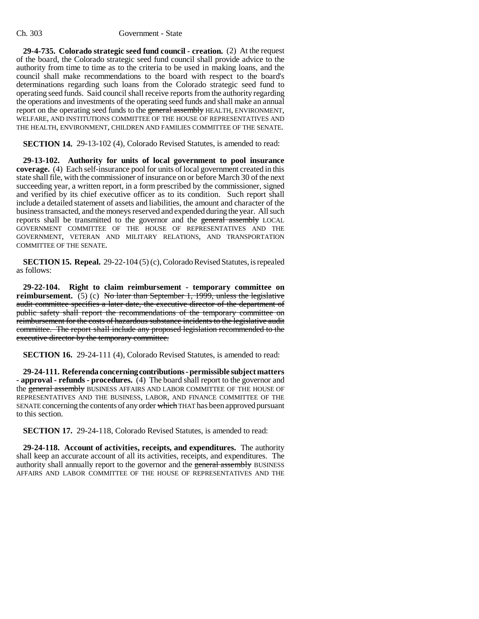## Ch. 303 Government - State

**29-4-735. Colorado strategic seed fund council - creation.** (2) At the request of the board, the Colorado strategic seed fund council shall provide advice to the authority from time to time as to the criteria to be used in making loans, and the council shall make recommendations to the board with respect to the board's determinations regarding such loans from the Colorado strategic seed fund to operating seed funds. Said council shall receive reports from the authority regarding the operations and investments of the operating seed funds and shall make an annual report on the operating seed funds to the general assembly HEALTH, ENVIRONMENT, WELFARE, AND INSTITUTIONS COMMITTEE OF THE HOUSE OF REPRESENTATIVES AND THE HEALTH, ENVIRONMENT, CHILDREN AND FAMILIES COMMITTEE OF THE SENATE.

**SECTION 14.** 29-13-102 (4), Colorado Revised Statutes, is amended to read:

**29-13-102. Authority for units of local government to pool insurance coverage.** (4) Each self-insurance pool for units of local government created in this state shall file, with the commissioner of insurance on or before March 30 of the next succeeding year, a written report, in a form prescribed by the commissioner, signed and verified by its chief executive officer as to its condition. Such report shall include a detailed statement of assets and liabilities, the amount and character of the business transacted, and the moneys reserved and expended during the year. All such reports shall be transmitted to the governor and the general assembly LOCAL GOVERNMENT COMMITTEE OF THE HOUSE OF REPRESENTATIVES AND THE GOVERNMENT, VETERAN AND MILITARY RELATIONS, AND TRANSPORTATION COMMITTEE OF THE SENATE.

**SECTION 15. Repeal.** 29-22-104 (5) (c), Colorado Revised Statutes, is repealed as follows:

**29-22-104. Right to claim reimbursement - temporary committee on reimbursement.** (5) (c) No later than September 1, 1999, unless the legislative audit committee specifies a later date, the executive director of the department of public safety shall report the recommendations of the temporary committee on reimbursement for the costs of hazardous substance incidents to the legislative audit committee. The report shall include any proposed legislation recommended to the executive director by the temporary committee.

**SECTION 16.** 29-24-111 (4), Colorado Revised Statutes, is amended to read:

**29-24-111. Referenda concerning contributions - permissible subject matters - approval - refunds - procedures.** (4) The board shall report to the governor and the general assembly BUSINESS AFFAIRS AND LABOR COMMITTEE OF THE HOUSE OF REPRESENTATIVES AND THE BUSINESS, LABOR, AND FINANCE COMMITTEE OF THE SENATE concerning the contents of any order which THAT has been approved pursuant to this section.

**SECTION 17.** 29-24-118, Colorado Revised Statutes, is amended to read:

**29-24-118. Account of activities, receipts, and expenditures.** The authority shall keep an accurate account of all its activities, receipts, and expenditures. The authority shall annually report to the governor and the general assembly BUSINESS AFFAIRS AND LABOR COMMITTEE OF THE HOUSE OF REPRESENTATIVES AND THE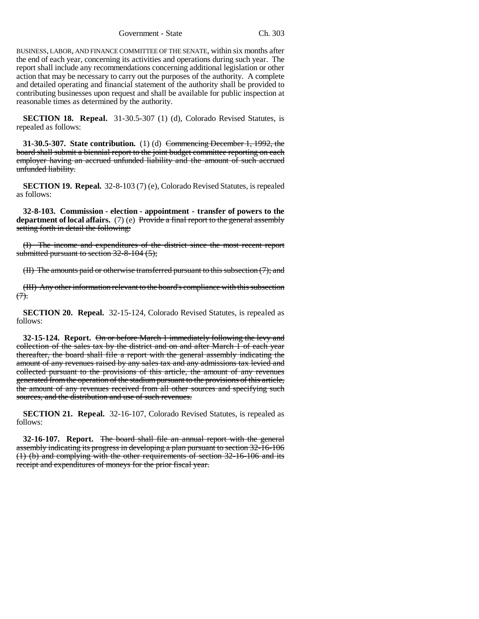Government - State Ch. 303

BUSINESS, LABOR, AND FINANCE COMMITTEE OF THE SENATE, within six months after the end of each year, concerning its activities and operations during such year. The report shall include any recommendations concerning additional legislation or other action that may be necessary to carry out the purposes of the authority. A complete and detailed operating and financial statement of the authority shall be provided to contributing businesses upon request and shall be available for public inspection at reasonable times as determined by the authority.

**SECTION 18. Repeal.** 31-30.5-307 (1) (d), Colorado Revised Statutes, is repealed as follows:

**31-30.5-307. State contribution.** (1) (d) Commencing December 1, 1992, the board shall submit a biennial report to the joint budget committee reporting on each employer having an accrued unfunded liability and the amount of such accrued unfunded liability.

**SECTION 19. Repeal.** 32-8-103 (7) (e), Colorado Revised Statutes, is repealed as follows:

**32-8-103. Commission - election - appointment - transfer of powers to the department of local affairs.** (7) (e) Provide a final report to the general assembly setting forth in detail the following:

(I) The income and expenditures of the district since the most recent report submitted pursuant to section 32-8-104 (5);

(II) The amounts paid or otherwise transferred pursuant to this subsection (7); and

(III) Any other information relevant to the board's compliance with this subsection  $(7)$ .

**SECTION 20. Repeal.** 32-15-124, Colorado Revised Statutes, is repealed as follows:

**32-15-124. Report.** On or before March 1 immediately following the levy and collection of the sales tax by the district and on and after March 1 of each year thereafter, the board shall file a report with the general assembly indicating the amount of any revenues raised by any sales tax and any admissions tax levied and collected pursuant to the provisions of this article, the amount of any revenues generated from the operation of the stadium pursuant to the provisions of this article, the amount of any revenues received from all other sources and specifying such sources, and the distribution and use of such revenues.

**SECTION 21. Repeal.** 32-16-107, Colorado Revised Statutes, is repealed as follows:

**32-16-107. Report.** The board shall file an annual report with the general assembly indicating its progress in developing a plan pursuant to section 32-16-106 (1) (b) and complying with the other requirements of section 32-16-106 and its receipt and expenditures of moneys for the prior fiscal year.